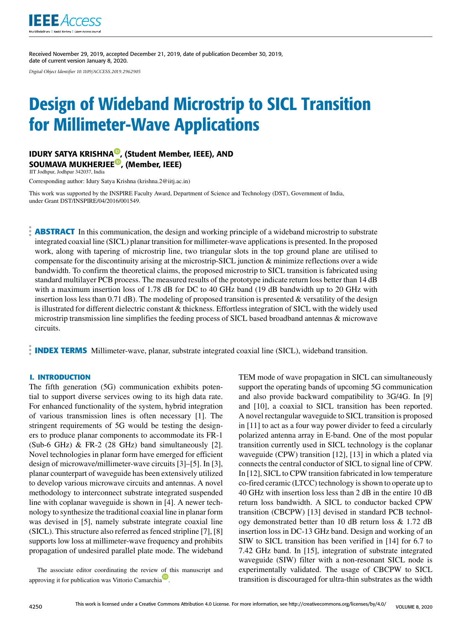

Received November 29, 2019, accepted December 21, 2019, date of publication December 30, 2019, date of current version January 8, 2020.

*Digital Object Identifier 10.1109/ACCESS.2019.2962905*

# Design of Wideband Microstrip to SICL Transition for Millimeter-Wave Applications

## IDURY SATYA KRISHNA<sup>®</sup>, (Student Member, IEEE), AND SOUMAVA MUKHERJEE<sup>®</sup>, (Member, IEEE)

IIT Jodhpur, Jodhpur 342037, India

Corresponding author: Idury Satya Krishna (krishna.2@iitj.ac.in)

This work was supported by the INSPIRE Faculty Award, Department of Science and Technology (DST), Government of India, under Grant DST/INSPIRE/04/2016/001549.

**ABSTRACT** In this communication, the design and working principle of a wideband microstrip to substrate integrated coaxial line (SICL) planar transition for millimeter-wave applications is presented. In the proposed work, along with tapering of microstrip line, two triangular slots in the top ground plane are utilised to compensate for the discontinuity arising at the microstrip-SICL junction & minimize reflections over a wide bandwidth. To confirm the theoretical claims, the proposed microstrip to SICL transition is fabricated using standard multilayer PCB process. The measured results of the prototype indicate return loss better than 14 dB with a maximum insertion loss of 1.78 dB for DC to 40 GHz band (19 dB bandwidth up to 20 GHz with insertion loss less than  $0.71$  dB). The modeling of proposed transition is presented & versatility of the design is illustrated for different dielectric constant & thickness. Effortless integration of SICL with the widely used microstrip transmission line simplifies the feeding process of SICL based broadband antennas & microwave circuits.

**INDEX TERMS** Millimeter-wave, planar, substrate integrated coaxial line (SICL), wideband transition.

## **I. INTRODUCTION**

The fifth generation (5G) communication exhibits potential to support diverse services owing to its high data rate. For enhanced functionality of the system, hybrid integration of various transmission lines is often necessary [1]. The stringent requirements of 5G would be testing the designers to produce planar components to accommodate its FR-1  $(Sub-6 GHz)$  & FR-2 (28 GHz) band simultaneously [2]. Novel technologies in planar form have emerged for efficient design of microwave/millimeter-wave circuits [3]–[5]. In [3], planar counterpart of waveguide has been extensively utilized to develop various microwave circuits and antennas. A novel methodology to interconnect substrate integrated suspended line with coplanar waveguide is shown in [4]. A newer technology to synthesize the traditional coaxial line in planar form was devised in [5], namely substrate integrate coaxial line (SICL). This structure also referred as fenced stripline [7], [8] supports low loss at millimeter-wave frequency and prohibits propagation of undesired parallel plate mode. The wideband

The associate editor coordinating the review of this manuscript and approving it for publication was Vittorio Camarchia<sup>D</sup>.

TEM mode of wave propagation in SICL can simultaneously support the operating bands of upcoming 5G communication and also provide backward compatibility to 3G/4G. In [9] and [10], a coaxial to SICL transition has been reported. A novel rectangular waveguide to SICL transition is proposed in [11] to act as a four way power divider to feed a circularly polarized antenna array in E-band. One of the most popular transition currently used in SICL technology is the coplanar waveguide (CPW) transition [12], [13] in which a plated via connects the central conductor of SICL to signal line of CPW. In [12], SICL to CPW transition fabricated in low temperature co-fired ceramic (LTCC) technology is shown to operate up to 40 GHz with insertion loss less than 2 dB in the entire 10 dB return loss bandwidth. A SICL to conductor backed CPW transition (CBCPW) [13] devised in standard PCB technology demonstrated better than 10 dB return loss & 1.72 dB insertion loss in DC-13 GHz band. Design and working of an SIW to SICL transition has been verified in [14] for 6.7 to 7.42 GHz band. In [15], integration of substrate integrated waveguide (SIW) filter with a non-resonant SICL node is experimentally validated. The usage of CBCPW to SICL transition is discouraged for ultra-thin substrates as the width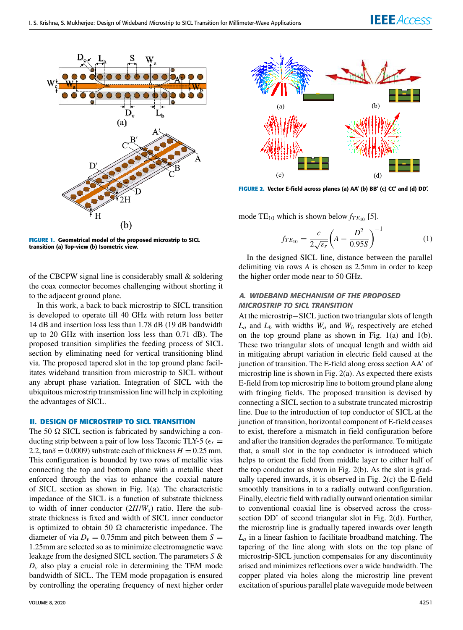

**FIGURE 1.** Geometrical model of the proposed microstrip to SICL transition (a) Top-view (b) Isometric view.

of the CBCPW signal line is considerably small  $\&$  soldering the coax connector becomes challenging without shorting it to the adjacent ground plane.

In this work, a back to back microstrip to SICL transition is developed to operate till 40 GHz with return loss better 14 dB and insertion loss less than 1.78 dB (19 dB bandwidth up to 20 GHz with insertion loss less than 0.71 dB). The proposed transition simplifies the feeding process of SICL section by eliminating need for vertical transitioning blind via. The proposed tapered slot in the top ground plane facilitates wideband transition from microstrip to SICL without any abrupt phase variation. Integration of SICL with the ubiquitous microstrip transmission line will help in exploiting the advantages of SICL.

## **II. DESIGN OF MICROSTRIP TO SICL TRANSITION**

The 50  $\Omega$  SICL section is fabricated by sandwiching a conducting strip between a pair of low loss Taconic TLY-5 ( $\epsilon_r$  = 2.2, tan $\delta$  = 0.0009) substrate each of thickness  $H = 0.25$  mm. This configuration is bounded by two rows of metallic vias connecting the top and bottom plane with a metallic sheet enforced through the vias to enhance the coaxial nature of SICL section as shown in Fig. 1(a). The characteristic impedance of the SICL is a function of substrate thickness to width of inner conductor (2*H*/*Ws*) ratio. Here the substrate thickness is fixed and width of SICL inner conductor is optimized to obtain 50  $\Omega$  characteristic impedance. The diameter of via  $D_v = 0.75$ mm and pitch between them  $S =$ 1.25mm are selected so as to minimize electromagnetic wave leakage from the designed SICL section. The parameters *S* &  $D<sub>v</sub>$  also play a crucial role in determining the TEM mode bandwidth of SICL. The TEM mode propagation is ensured by controlling the operating frequency of next higher order



**FIGURE 2.** Vector E-field across planes (a) AA' (b) BB' (c) CC' and (d) DD'.

mode  $TE_{10}$  which is shown below  $f_{TE_{10}}$  [5].

$$
f_{TE_{10}} = \frac{c}{2\sqrt{\varepsilon_r}} \left( A - \frac{D^2}{0.95S} \right)^{-1}
$$
 (1)

In the designed SICL line, distance between the parallel delimiting via rows *A* is chosen as 2.5mm in order to keep the higher order mode near to 50 GHz.

## A. WIDEBAND MECHANISM OF THE PROPOSED MICROSTRIP TO SICL TRANSITION

At the microstrip−SICL juction two triangular slots of length *L<sup>a</sup>* and *L<sup>b</sup>* with widths *W<sup>a</sup>* and *W<sup>b</sup>* respectively are etched on the top ground plane as shown in Fig. 1(a) and 1(b). These two triangular slots of unequal length and width aid in mitigating abrupt variation in electric field caused at the junction of transition. The E-field along cross section AA' of microstrip line is shown in Fig. 2(a). As expected there exists E-field from top microstrip line to bottom ground plane along with fringing fields. The proposed transition is devised by connecting a SICL section to a substrate truncated microstrip line. Due to the introduction of top conductor of SICL at the junction of transition, horizontal component of E-field ceases to exist, therefore a mismatch in field configuration before and after the transition degrades the performance. To mitigate that, a small slot in the top conductor is introduced which helps to orient the field from middle layer to either half of the top conductor as shown in Fig. 2(b). As the slot is gradually tapered inwards, it is observed in Fig. 2(c) the E-field smoothly transitions in to a radially outward configuration. Finally, electric field with radially outward orientation similar to conventional coaxial line is observed across the crosssection DD' of second triangular slot in Fig. 2(d). Further, the microstrip line is gradually tapered inwards over length *L<sup>a</sup>* in a linear fashion to facilitate broadband matching. The tapering of the line along with slots on the top plane of microstrip-SICL junction compensates for any discontinuity arised and minimizes reflections over a wide bandwidth. The copper plated via holes along the microstrip line prevent excitation of spurious parallel plate waveguide mode between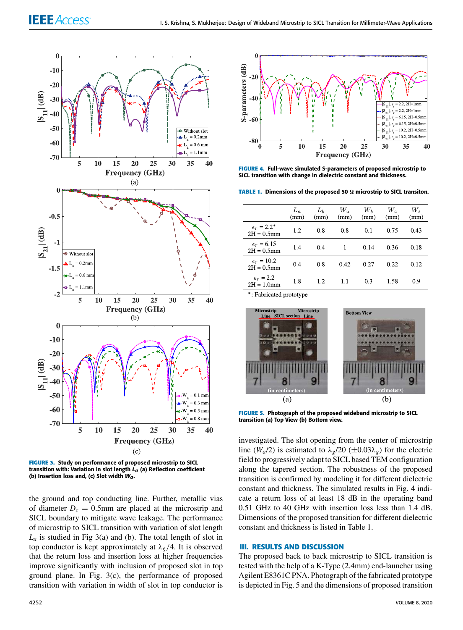

**FIGURE 3.** Study on performance of proposed microstrip to SICL transition with: Variation in slot length  $L_q$  (a) Reflection coefficient (b) Insertion loss and, (c) Slot width  $W_a$ .

the ground and top conducting line. Further, metallic vias of diameter  $D_c = 0.5$ mm are placed at the microstrip and SICL boundary to mitigate wave leakage. The performance of microstrip to SICL transition with variation of slot length  $L_a$  is studied in Fig 3(a) and (b). The total length of slot in top conductor is kept approximately at  $\lambda_g/4$ . It is observed that the return loss and insertion loss at higher frequencies improve significantly with inclusion of proposed slot in top ground plane. In Fig. 3(c), the performance of proposed transition with variation in width of slot in top conductor is



**FIGURE 4.** Full-wave simulated S-parameters of proposed microstrip to SICL transition with change in dielectric constant and thickness.

**TABLE 1. Dimensions of the proposed 50 Ω microstrip to SICL transiton.** 

|                                       | $L_a$<br>(mm) | $L_b$<br>(mm) | $W_a$<br>(mm) | $W_b$<br>(mm) | $W_c$<br>(mm) | W.<br>(mm) |
|---------------------------------------|---------------|---------------|---------------|---------------|---------------|------------|
| $\epsilon_r = 2.2^*$<br>$2H = 0.5$ mm | 1.2           | 0.8           | 0.8           | 0.1           | 0.75          | 0.43       |
| $\epsilon_r = 6.15$<br>$2H = 0.5$ mm  | 1.4           | 0.4           | 1             | 0.14          | 0.36          | 0.18       |
| $\epsilon_r = 10.2$<br>$2H = 0.5$ mm  | 0.4           | 0.8           | 0.42          | 0.27          | 0.22          | 0.12       |
| $\epsilon_r = 2.2$<br>$2H = 1.0$ mm   | 1.8           | 12            | 1.1           | 0.3           | 1.58          | 0.9        |
|                                       |               |               |               |               |               |            |

\*: Fabricated prototype



**FIGURE 5.** Photograph of the proposed wideband microstrip to SICL transition (a) Top View (b) Bottom view.

investigated. The slot opening from the center of microstrip line ( $W_a/2$ ) is estimated to  $\lambda_g/20$  ( $\pm 0.03\lambda_g$ ) for the electric field to progressively adapt to SICL based TEM configuration along the tapered section. The robustness of the proposed transition is confirmed by modeling it for different dielectric constant and thickness. The simulated results in Fig. 4 indicate a return loss of at least 18 dB in the operating band 0.51 GHz to 40 GHz with insertion loss less than 1.4 dB. Dimensions of the proposed transition for different dielectric constant and thickness is listed in Table 1.

### **III. RESULTS AND DISCUSSION**

The proposed back to back microstrip to SICL transition is tested with the help of a K-Type (2.4mm) end-launcher using Agilent E8361C PNA. Photograph of the fabricated prototype is depicted in Fig. 5 and the dimensions of proposed transition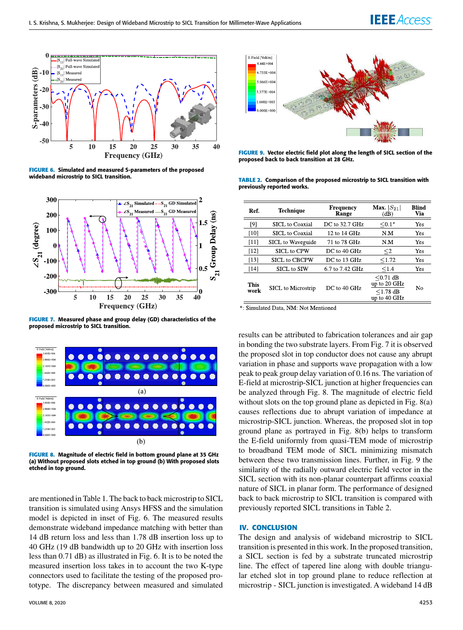

**FIGURE 6.** Simulated and measured S-parameters of the proposed wideband microstrip to SICL transition.



**FIGURE 7.** Measured phase and group delay (GD) characteristics of the proposed microstrip to SICL transition.



**FIGURE 8.** Magnitude of electric field in bottom ground plane at 35 GHz (a) Without proposed slots etched in top ground (b) With proposed slots etched in top ground.

are mentioned in Table 1. The back to back microstrip to SICL transition is simulated using Ansys HFSS and the simulation model is depicted in inset of Fig. 6. The measured results demonstrate wideband impedance matching with better than 14 dB return loss and less than 1.78 dB insertion loss up to 40 GHz (19 dB bandwidth up to 20 GHz with insertion loss less than 0.71 dB) as illustrated in Fig. 6. It is to be noted the measured insertion loss takes in to account the two K-type connectors used to facilitate the testing of the proposed prototype. The discrepancy between measured and simulated



**FIGURE 9.** Vector electric field plot along the length of SICL section of the proposed back to back transition at 28 GHz.

**TABLE 2.** Comparison of the proposed microstrip to SICL transition with previously reported works.

| Ref.         | Technique                 | Frequency<br>Range | Max. $ S_{21} $<br>(dB)                                       | <b>Blind</b><br>Via |
|--------------|---------------------------|--------------------|---------------------------------------------------------------|---------------------|
| [9]          | SICL to Coaxial           | DC to 32.7 GHz     | $< 0.1*$                                                      | Yes                 |
| [10]         | SICL to Coaxial           | 12 to 14 GHz       | N.M                                                           | Yes                 |
| [11]         | SICL to Waveguide         | 71 to 78 GHz       | N.M                                                           | Yes                 |
| [12]         | <b>SICL to CPW</b>        | DC to 40 GHz       | $\leq$ 2                                                      | Yes                 |
| [13]         | <b>SICL to CBCPW</b>      | DC to 13 GHz       | < 1.72                                                        | Yes                 |
| [14]         | <b>SICL</b> to <b>SIW</b> | 6.7 to 7.42 GHz    | < 1.4                                                         | Yes                 |
| This<br>work | SICL to Microstrip        | DC to 40 GHz       | $< 0.71$ dB<br>up to 20 GHz<br>$\leq$ 1.78 dB<br>up to 40 GHz | No                  |

\*: Simulated Data, NM: Not Mentioned

results can be attributed to fabrication tolerances and air gap in bonding the two substrate layers. From Fig. 7 it is observed the proposed slot in top conductor does not cause any abrupt variation in phase and supports wave propagation with a low peak to peak group delay variation of 0.16 ns. The variation of E-field at microstrip-SICL junction at higher frequencies can be analyzed through Fig. 8. The magnitude of electric field without slots on the top ground plane as depicted in Fig. 8(a) causes reflections due to abrupt variation of impedance at microstrip-SICL junction. Whereas, the proposed slot in top ground plane as portrayed in Fig. 8(b) helps to transform the E-field uniformly from quasi-TEM mode of microstrip to broadband TEM mode of SICL minimizing mismatch between these two transmission lines. Further, in Fig. 9 the similarity of the radially outward electric field vector in the SICL section with its non-planar counterpart affirms coaxial nature of SICL in planar form. The performance of designed back to back microstrip to SICL transition is compared with previously reported SICL transitions in Table 2.

### **IV. CONCLUSION**

The design and analysis of wideband microstrip to SICL transition is presented in this work. In the proposed transition, a SICL section is fed by a substrate truncated microstrip line. The effect of tapered line along with double triangular etched slot in top ground plane to reduce reflection at microstrip - SICL junction is investigated. A wideband 14 dB